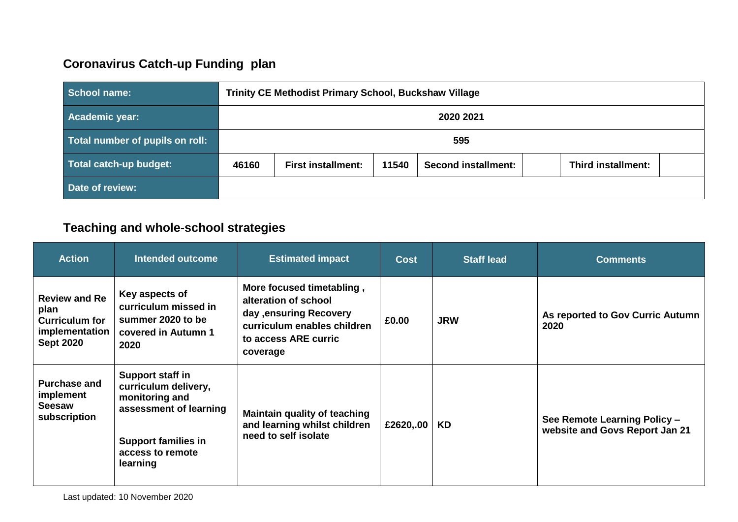# **Coronavirus Catch-up Funding plan**

| School name:                    | <b>Trinity CE Methodist Primary School, Buckshaw Village</b> |                                                                                               |  |  |  |  |
|---------------------------------|--------------------------------------------------------------|-----------------------------------------------------------------------------------------------|--|--|--|--|
| Academic year:                  | 2020 2021                                                    |                                                                                               |  |  |  |  |
| Total number of pupils on roll: | 595                                                          |                                                                                               |  |  |  |  |
| Total catch-up budget:          | 46160                                                        | 11540<br><b>First installment:</b><br><b>Second installment:</b><br><b>Third installment:</b> |  |  |  |  |
| Date of review:                 |                                                              |                                                                                               |  |  |  |  |

# **Teaching and whole-school strategies**

| <b>Action</b>                                                                               | Intended outcome                                                                                                                                   | <b>Estimated impact</b>                                                                                                                         | <b>Cost</b> | <b>Staff lead</b> | <b>Comments</b>                                                |
|---------------------------------------------------------------------------------------------|----------------------------------------------------------------------------------------------------------------------------------------------------|-------------------------------------------------------------------------------------------------------------------------------------------------|-------------|-------------------|----------------------------------------------------------------|
| <b>Review and Re</b><br>plan<br><b>Curriculum for</b><br>implementation<br><b>Sept 2020</b> | Key aspects of<br>curriculum missed in<br>summer 2020 to be<br>covered in Autumn 1<br>2020                                                         | More focused timetabling,<br>alteration of school<br>day , ensuring Recovery<br>curriculum enables children<br>to access ARE curric<br>coverage | £0.00       | <b>JRW</b>        | As reported to Gov Curric Autumn<br>2020                       |
| <b>Purchase and</b><br>implement<br><b>Seesaw</b><br>subscription                           | Support staff in<br>curriculum delivery,<br>monitoring and<br>assessment of learning<br><b>Support families in</b><br>access to remote<br>learning | <b>Maintain quality of teaching</b><br>and learning whilst children<br>need to self isolate                                                     | £2620,.00   | KD                | See Remote Learning Policy -<br>website and Govs Report Jan 21 |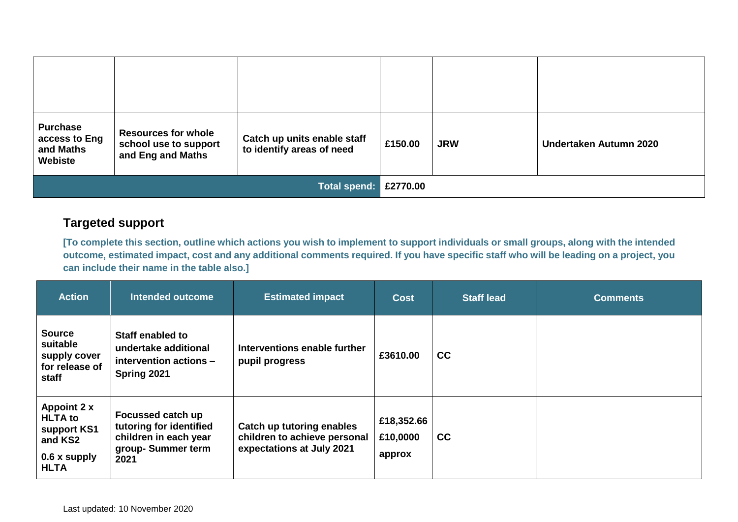| <b>Purchase</b><br>access to Eng<br>and Maths<br>Webiste | <b>Resources for whole</b><br>school use to support<br>and Eng and Maths | Catch up units enable staff<br>to identify areas of need | £150.00 | <b>JRW</b> | Undertaken Autumn 2020 |
|----------------------------------------------------------|--------------------------------------------------------------------------|----------------------------------------------------------|---------|------------|------------------------|
| Total spend: £2770.00                                    |                                                                          |                                                          |         |            |                        |

## **Targeted support**

**[To complete this section, outline which actions you wish to implement to support individuals or small groups, along with the intended outcome, estimated impact, cost and any additional comments required. If you have specific staff who will be leading on a project, you can include their name in the table also.]**

| <b>Action</b>                                                                          | Intended outcome                                                                                   | <b>Estimated impact</b>                                                                | <b>Cost</b>                      | <b>Staff lead</b> | <b>Comments</b> |
|----------------------------------------------------------------------------------------|----------------------------------------------------------------------------------------------------|----------------------------------------------------------------------------------------|----------------------------------|-------------------|-----------------|
| <b>Source</b><br>suitable<br>supply cover<br>for release of<br>staff                   | Staff enabled to<br>undertake additional<br>intervention actions -<br>Spring 2021                  | Interventions enable further<br>pupil progress                                         | £3610.00                         | <b>CC</b>         |                 |
| Appoint 2 x<br><b>HLTA</b> to<br>support KS1<br>and KS2<br>0.6 x supply<br><b>HLTA</b> | Focussed catch up<br>tutoring for identified<br>children in each year<br>group-Summer term<br>2021 | Catch up tutoring enables<br>children to achieve personal<br>expectations at July 2021 | £18,352.66<br>£10,0000<br>approx | cc                |                 |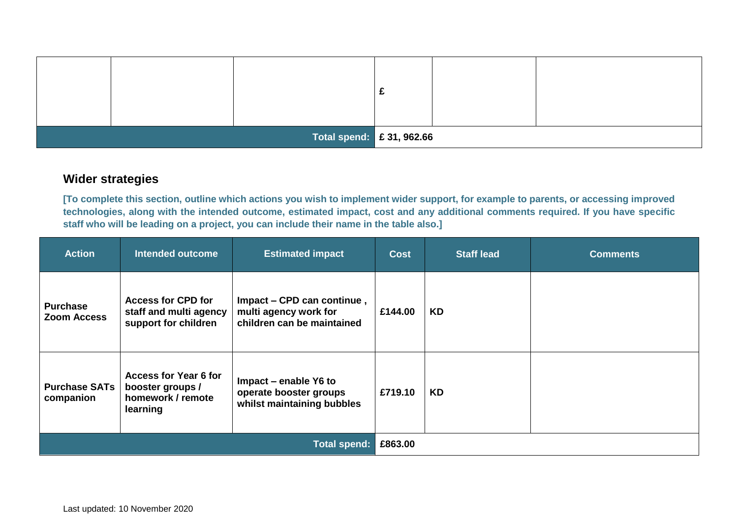|  |  |  | Total spend: $\left  \right.$ £ 31, 962.66 |  |  |  |
|--|--|--|--------------------------------------------|--|--|--|

### **Wider strategies**

**[To complete this section, outline which actions you wish to implement wider support, for example to parents, or accessing improved technologies, along with the intended outcome, estimated impact, cost and any additional comments required. If you have specific staff who will be leading on a project, you can include their name in the table also.]**

| <b>Action</b>                         | <b>Intended outcome</b>                                                           | <b>Estimated impact</b>                                                           | <b>Cost</b> | <b>Staff lead</b> | <b>Comments</b> |
|---------------------------------------|-----------------------------------------------------------------------------------|-----------------------------------------------------------------------------------|-------------|-------------------|-----------------|
| <b>Purchase</b><br><b>Zoom Access</b> | <b>Access for CPD for</b><br>staff and multi agency<br>support for children       | Impact – CPD can continue,<br>multi agency work for<br>children can be maintained | £144.00     | <b>KD</b>         |                 |
| <b>Purchase SATs</b><br>companion     | <b>Access for Year 6 for</b><br>booster groups /<br>homework / remote<br>learning | Impact – enable Y6 to<br>operate booster groups<br>whilst maintaining bubbles     | £719.10     | <b>KD</b>         |                 |
| <b>Total spend:</b>                   |                                                                                   |                                                                                   | £863.00     |                   |                 |